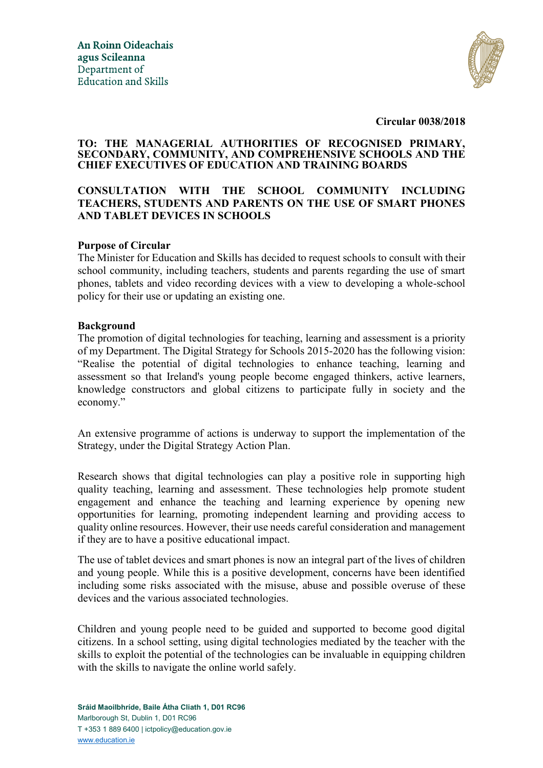

**Circular 0038/2018**

### **TO: THE MANAGERIAL AUTHORITIES OF RECOGNISED PRIMARY, SECONDARY, COMMUNITY, AND COMPREHENSIVE SCHOOLS AND THE CHIEF EXECUTIVES OF EDUCATION AND TRAINING BOARDS**

# **CONSULTATION WITH THE SCHOOL COMMUNITY INCLUDING TEACHERS, STUDENTS AND PARENTS ON THE USE OF SMART PHONES AND TABLET DEVICES IN SCHOOLS**

### **Purpose of Circular**

The Minister for Education and Skills has decided to request schools to consult with their school community, including teachers, students and parents regarding the use of smart phones, tablets and video recording devices with a view to developing a whole-school policy for their use or updating an existing one.

#### **Background**

The promotion of digital technologies for teaching, learning and assessment is a priority of my Department. The Digital Strategy for Schools 2015-2020 has the following vision: "Realise the potential of digital technologies to enhance teaching, learning and assessment so that Ireland's young people become engaged thinkers, active learners, knowledge constructors and global citizens to participate fully in society and the economy."

An extensive programme of actions is underway to support the implementation of the Strategy, under the Digital Strategy Action Plan.

Research shows that digital technologies can play a positive role in supporting high quality teaching, learning and assessment. These technologies help promote student engagement and enhance the teaching and learning experience by opening new opportunities for learning, promoting independent learning and providing access to quality online resources. However, their use needs careful consideration and management if they are to have a positive educational impact.

The use of tablet devices and smart phones is now an integral part of the lives of children and young people. While this is a positive development, concerns have been identified including some risks associated with the misuse, abuse and possible overuse of these devices and the various associated technologies.

Children and young people need to be guided and supported to become good digital citizens. In a school setting, using digital technologies mediated by the teacher with the skills to exploit the potential of the technologies can be invaluable in equipping children with the skills to navigate the online world safely.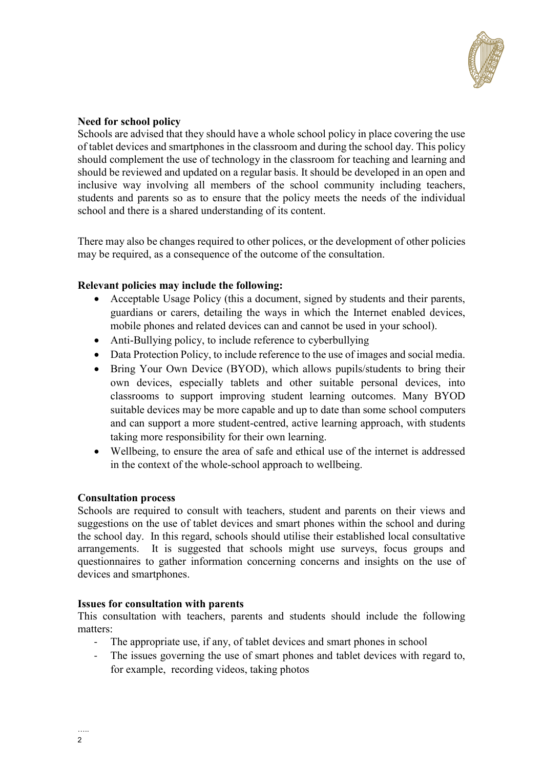

## **Need for school policy**

Schools are advised that they should have a whole school policy in place covering the use of tablet devices and smartphones in the classroom and during the school day. This policy should complement the use of technology in the classroom for teaching and learning and should be reviewed and updated on a regular basis. It should be developed in an open and inclusive way involving all members of the school community including teachers, students and parents so as to ensure that the policy meets the needs of the individual school and there is a shared understanding of its content.

There may also be changes required to other polices, or the development of other policies may be required, as a consequence of the outcome of the consultation.

### **Relevant policies may include the following:**

- Acceptable Usage Policy (this a document, signed by students and their parents, guardians or carers, detailing the ways in which the Internet enabled devices, mobile phones and related devices can and cannot be used in your school).
- Anti-Bullying policy, to include reference to cyberbullying
- Data Protection Policy, to include reference to the use of images and social media.
- Bring Your Own Device (BYOD), which allows pupils/students to bring their own devices, especially tablets and other suitable personal devices, into classrooms to support improving student learning outcomes. Many BYOD suitable devices may be more capable and up to date than some school computers and can support a more student-centred, active learning approach, with students taking more responsibility for their own learning.
- Wellbeing, to ensure the area of safe and ethical use of the internet is addressed in the context of the whole-school approach to wellbeing.

#### **Consultation process**

Schools are required to consult with teachers, student and parents on their views and suggestions on the use of tablet devices and smart phones within the school and during the school day. In this regard, schools should utilise their established local consultative arrangements. It is suggested that schools might use surveys, focus groups and questionnaires to gather information concerning concerns and insights on the use of devices and smartphones.

#### **Issues for consultation with parents**

This consultation with teachers, parents and students should include the following matters:

- The appropriate use, if any, of tablet devices and smart phones in school
- The issues governing the use of smart phones and tablet devices with regard to, for example, recording videos, taking photos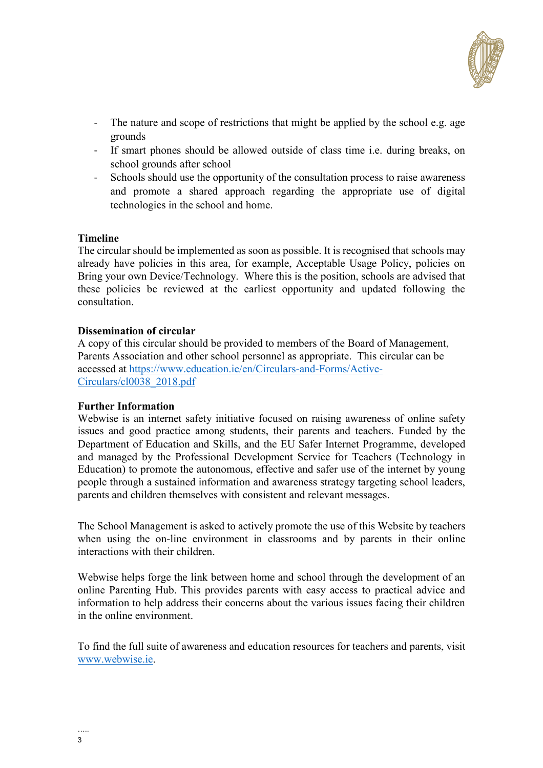

- The nature and scope of restrictions that might be applied by the school e.g. age grounds
- If smart phones should be allowed outside of class time i.e. during breaks, on school grounds after school
- Schools should use the opportunity of the consultation process to raise awareness and promote a shared approach regarding the appropriate use of digital technologies in the school and home.

### **Timeline**

The circular should be implemented as soon as possible. It is recognised that schools may already have policies in this area, for example, Acceptable Usage Policy, policies on Bring your own Device/Technology. Where this is the position, schools are advised that these policies be reviewed at the earliest opportunity and updated following the consultation.

### **Dissemination of circular**

A copy of this circular should be provided to members of the Board of Management, Parents Association and other school personnel as appropriate. This circular can be accessed at [https://www.education.ie/en/Circulars-and-Forms/Active-](https://www.education.ie/en/Circulars-and-Forms/Active-Circulars/cl0038_2018.pdf)[Circulars/cl0038\\_2018.pdf](https://www.education.ie/en/Circulars-and-Forms/Active-Circulars/cl0038_2018.pdf)

#### **Further Information**

Webwise is an internet safety initiative focused on raising awareness of online safety issues and good practice among students, their parents and teachers. Funded by the Department of Education and Skills, and the EU Safer Internet Programme, developed and managed by the Professional Development Service for Teachers (Technology in Education) to promote the autonomous, effective and safer use of the internet by young people through a sustained information and awareness strategy targeting school leaders, parents and children themselves with consistent and relevant messages.

The School Management is asked to actively promote the use of this Website by teachers when using the on-line environment in classrooms and by parents in their online interactions with their children.

Webwise helps forge the link between home and school through the development of an online Parenting Hub. This provides parents with easy access to practical advice and information to help address their concerns about the various issues facing their children in the online environment.

To find the full suite of awareness and education resources for teachers and parents, visit [www.webwise.ie.](www.webwise.ie)